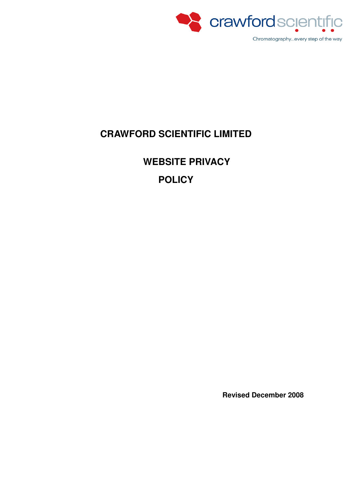

# **CRAWFORD SCIENTIFIC LIMITED**

# **WEBSITE PRIVACY POLICY**

**Revised December 2008**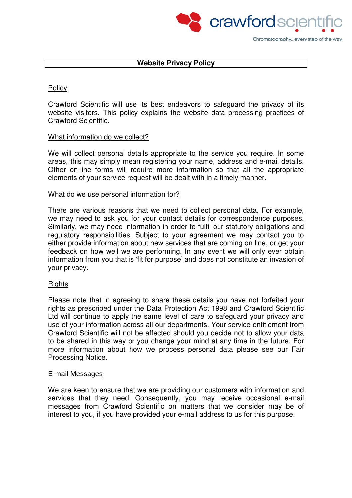

#### **Website Privacy Policy**

### **Policy**

Crawford Scientific will use its best endeavors to safeguard the privacy of its website visitors. This policy explains the website data processing practices of Crawford Scientific.

#### What information do we collect?

We will collect personal details appropriate to the service you require. In some areas, this may simply mean registering your name, address and e-mail details. Other on-line forms will require more information so that all the appropriate elements of your service request will be dealt with in a timely manner.

#### What do we use personal information for?

There are various reasons that we need to collect personal data. For example, we may need to ask you for your contact details for correspondence purposes. Similarly, we may need information in order to fulfil our statutory obligations and regulatory responsibilities. Subject to your agreement we may contact you to either provide information about new services that are coming on line, or get your feedback on how well we are performing. In any event we will only ever obtain information from you that is 'fit for purpose' and does not constitute an invasion of your privacy.

#### **Rights**

Please note that in agreeing to share these details you have not forfeited your rights as prescribed under the Data Protection Act 1998 and Crawford Scientific Ltd will continue to apply the same level of care to safeguard your privacy and use of your information across all our departments. Your service entitlement from Crawford Scientific will not be affected should you decide not to allow your data to be shared in this way or you change your mind at any time in the future. For more information about how we process personal data please see our Fair Processing Notice.

#### E-mail Messages

We are keen to ensure that we are providing our customers with information and services that they need. Consequently, you may receive occasional e-mail messages from Crawford Scientific on matters that we consider may be of interest to you, if you have provided your e-mail address to us for this purpose.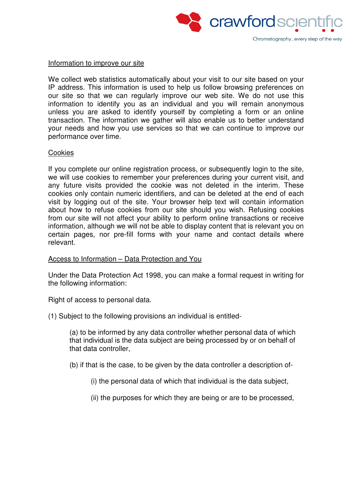

#### Information to improve our site

We collect web statistics automatically about your visit to our site based on your IP address. This information is used to help us follow browsing preferences on our site so that we can regularly improve our web site. We do not use this information to identify you as an individual and you will remain anonymous unless you are asked to identify yourself by completing a form or an online transaction. The information we gather will also enable us to better understand your needs and how you use services so that we can continue to improve our performance over time.

#### **Cookies**

If you complete our online registration process, or subsequently login to the site, we will use cookies to remember your preferences during your current visit, and any future visits provided the cookie was not deleted in the interim. These cookies only contain numeric identifiers, and can be deleted at the end of each visit by logging out of the site. Your browser help text will contain information about how to refuse cookies from our site should you wish. Refusing cookies from our site will not affect your ability to perform online transactions or receive information, although we will not be able to display content that is relevant you on certain pages, nor pre-fill forms with your name and contact details where relevant.

#### Access to Information – Data Protection and You

Under the Data Protection Act 1998, you can make a formal request in writing for the following information:

Right of access to personal data.

(1) Subject to the following provisions an individual is entitled-

(a) to be informed by any data controller whether personal data of which that individual is the data subject are being processed by or on behalf of that data controller,

(b) if that is the case, to be given by the data controller a description of-

(i) the personal data of which that individual is the data subject,

(ii) the purposes for which they are being or are to be processed,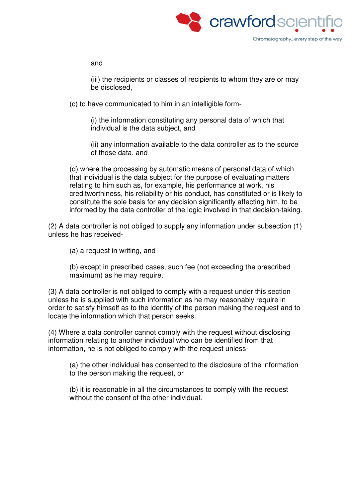

and

(iii) the recipients or classes of recipients to whom they are or may be disclosed,

(c) to have communicated to him in an intelligible form-

(i) the information constituting any personal data of which that individual is the data subject, and

(ii) any information available to the data controller as to the source of those data, and

(d) where the processing by automatic means of personal data of which that individual is the data subject for the purpose of evaluating matters relating to him such as, for example, his performance at work, his creditworthiness, his reliability or his conduct, has constituted or is likely to constitute the sole basis for any decision significantly affecting him, to be informed by the data controller of the logic involved in that decision-taking.

(2) A data controller is not obliged to supply any information under subsection (1) unless he has received-

(a) a request in writing, and

(b) except in prescribed cases, such fee (not exceeding the prescribed maximum) as he may require.

(3) A data controller is not obliged to comply with a request under this section unless he is supplied with such information as he may reasonably require in order to satisfy himself as to the identity of the person making the request and to locate the information which that person seeks.

(4) Where a data controller cannot comply with the request without disclosing information relating to another individual who can be identified from that information, he is not obliged to comply with the request unless-

(a) the other individual has consented to the disclosure of the information to the person making the request, or

(b) it is reasonable in all the circumstances to comply with the request without the consent of the other individual.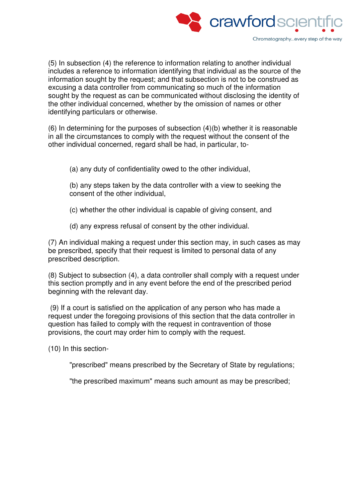

(5) In subsection (4) the reference to information relating to another individual includes a reference to information identifying that individual as the source of the information sought by the request; and that subsection is not to be construed as excusing a data controller from communicating so much of the information sought by the request as can be communicated without disclosing the identity of the other individual concerned, whether by the omission of names or other identifying particulars or otherwise.

(6) In determining for the purposes of subsection (4)(b) whether it is reasonable in all the circumstances to comply with the request without the consent of the other individual concerned, regard shall be had, in particular, to-

- (a) any duty of confidentiality owed to the other individual,
- (b) any steps taken by the data controller with a view to seeking the consent of the other individual,
- (c) whether the other individual is capable of giving consent, and
- (d) any express refusal of consent by the other individual.

(7) An individual making a request under this section may, in such cases as may be prescribed, specify that their request is limited to personal data of any prescribed description.

(8) Subject to subsection (4), a data controller shall comply with a request under this section promptly and in any event before the end of the prescribed period beginning with the relevant day.

 (9) If a court is satisfied on the application of any person who has made a request under the foregoing provisions of this section that the data controller in question has failed to comply with the request in contravention of those provisions, the court may order him to comply with the request.

(10) In this section-

"prescribed" means prescribed by the Secretary of State by regulations;

"the prescribed maximum" means such amount as may be prescribed;